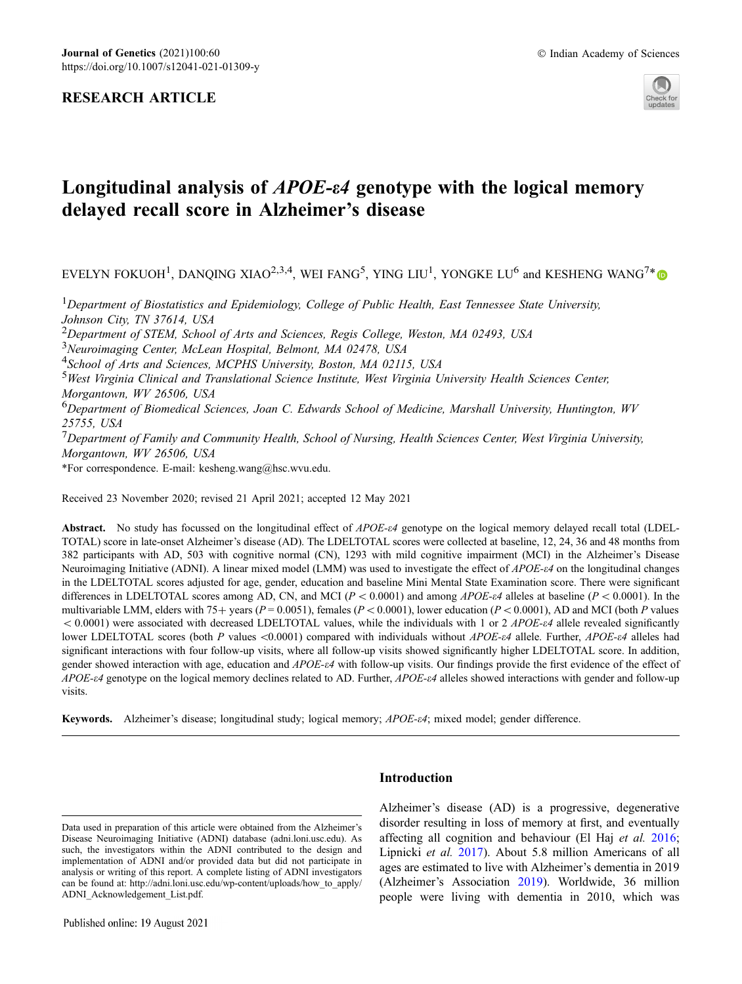# RESEARCH ARTICLE



# Longitudinal analysis of *APOE-* $\epsilon$ 4 genotype with the logical memory delayed recall score in Alzheimer's disease

EVELYN FOKUOH<sup>1</sup>, DANOING XIAO<sup>2,3,4</sup>, WEI FANG<sup>5</sup>, YING LIU<sup>1</sup>, YONGKE LU<sup>6</sup> and KESHENG WANG<sup>7\*</sup>

<sup>1</sup>Department of Biostatistics and Epidemiology, College of Public Health, East Tennessee State University, Johnson City, TN 37614, USA <sup>2</sup>Department of STEM, School of Arts and Sciences, Regis College, Weston, MA 02493, USA <sup>3</sup>Neuroimaging Center, McLean Hospital, Belmont, MA 02478, USA <sup>4</sup>School of Arts and Sciences, MCPHS University, Boston, MA 02115, USA <sup>5</sup>West Virginia Clinical and Translational Science Institute, West Virginia University Health Sciences Center, Morgantown, WV 26506, USA <sup>6</sup>Department of Biomedical Sciences, Joan C. Edwards School of Medicine, Marshall University, Huntington, WV 25755, USA  $7$ Department of Family and Community Health, School of Nursing, Health Sciences Center, West Virginia University, Morgantown, WV 26506, USA \*For correspondence. E-mail: kesheng.wang@hsc.wvu.edu.

Received 23 November 2020; revised 21 April 2021; accepted 12 May 2021

Abstract. No study has focussed on the longitudinal effect of APOE-e4 genotype on the logical memory delayed recall total (LDEL-TOTAL) score in late-onset Alzheimer's disease (AD). The LDELTOTAL scores were collected at baseline, 12, 24, 36 and 48 months from 382 participants with AD, 503 with cognitive normal (CN), 1293 with mild cognitive impairment (MCI) in the Alzheimer's Disease Neuroimaging Initiative (ADNI). A linear mixed model (LMM) was used to investigate the effect of APOE-e4 on the longitudinal changes in the LDELTOTAL scores adjusted for age, gender, education and baseline Mini Mental State Examination score. There were significant differences in LDELTOTAL scores among AD, CN, and MCI ( $P < 0.0001$ ) and among *APOE-e4* alleles at baseline ( $P < 0.0001$ ). In the multivariable LMM, elders with 75+ years ( $P = 0.0051$ ), females ( $P < 0.0001$ ), lower education ( $P < 0.0001$ ), AD and MCI (both P values  $< 0.0001$ ) were associated with decreased LDELTOTAL values, while the individuals with 1 or 2 *APOE-e4* allele revealed significantly lower LDELTOTAL scores (both P values <0.0001) compared with individuals without  $APOE-\varepsilon4$  allele. Further,  $APOE-\varepsilon4$  alleles had significant interactions with four follow-up visits, where all follow-up visits showed significantly higher LDELTOTAL score. In addition, gender showed interaction with age, education and APOE-e4 with follow-up visits. Our findings provide the first evidence of the effect of APOE-e4 genotype on the logical memory declines related to AD. Further, APOE-e4 alleles showed interactions with gender and follow-up visits.

Keywords. Alzheimer's disease; longitudinal study; logical memory; APOE-e4; mixed model; gender difference.

Data used in preparation of this article were obtained from the Alzheimer's Disease Neuroimaging Initiative (ADNI) database (adni.loni.usc.edu). As such, the investigators within the ADNI contributed to the design and implementation of ADNI and/or provided data but did not participate in analysis or writing of this report. A complete listing of ADNI investigators can be found at: http://adni.loni.usc.edu/wp-content/uploads/how\_to\_apply/ ADNI\_Acknowledgement\_List.pdf.

# Introduction

Alzheimer's disease (AD) is a progressive, degenerative disorder resulting in loss of memory at first, and eventually affecting all cognition and behaviour (El Haj et al. [2016;](#page-7-0) Lipnicki et al. [2017](#page-8-0)). About 5.8 million Americans of all ages are estimated to live with Alzheimer's dementia in 2019 (Alzheimer's Association [2019\)](#page-7-0). Worldwide, 36 million people were living with dementia in 2010, which was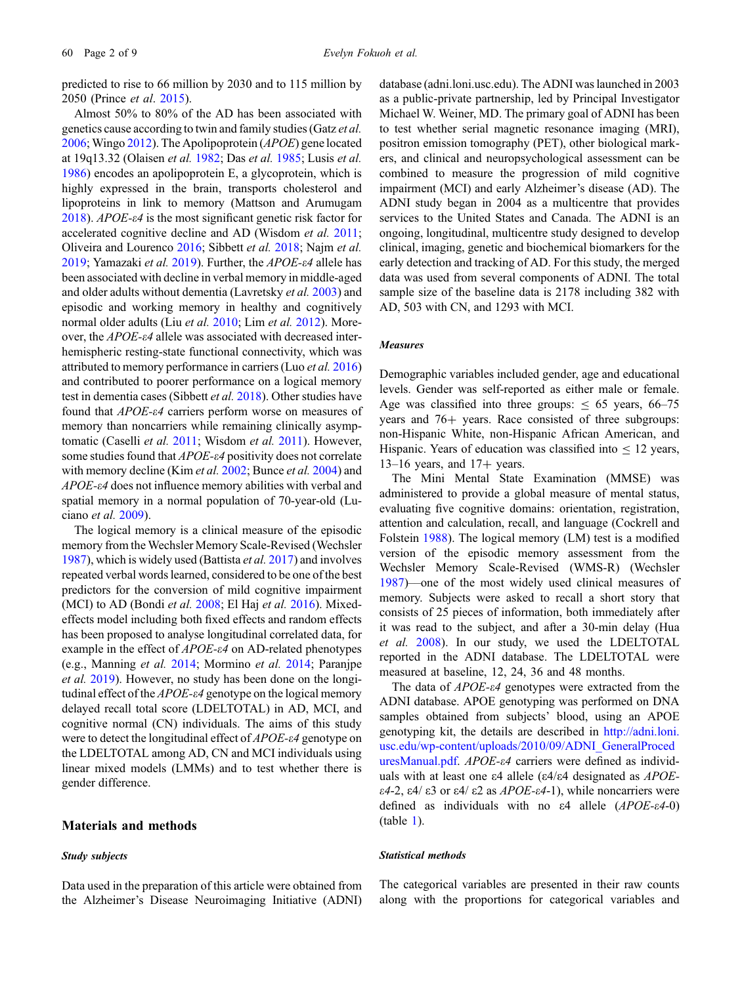predicted to rise to 66 million by 2030 and to 115 million by 2050 (Prince et al. [2015](#page-8-0)).

Almost 50% to 80% of the AD has been associated with genetics cause according to twin and family studies (Gatz et al. [2006;](#page-7-0) Wingo [2012](#page-8-0)). The Apolipoprotein (APOE) gene located at 19q13.32 (Olaisen et al. [1982;](#page-8-0) Das et al. [1985;](#page-7-0) Lusis et al. [1986\)](#page-8-0) encodes an apolipoprotein E, a glycoprotein, which is highly expressed in the brain, transports cholesterol and lipoproteins in link to memory (Mattson and Arumugam [2018\)](#page-8-0). APOE- $\varepsilon$ 4 is the most significant genetic risk factor for accelerated cognitive decline and AD (Wisdom et al. [2011;](#page-8-0) Oliveira and Lourenco [2016](#page-8-0); Sibbett et al. [2018;](#page-8-0) Najm et al. [2019;](#page-8-0) Yamazaki et al. [2019](#page-8-0)). Further, the APOE- $\varepsilon$ 4 allele has been associated with decline in verbal memory in middle-aged and older adults without dementia (Lavretsky et al. [2003\)](#page-8-0) and episodic and working memory in healthy and cognitively normal older adults (Liu et al. [2010](#page-8-0); Lim et al. [2012\)](#page-8-0). Moreover, the APOE-e4 allele was associated with decreased interhemispheric resting-state functional connectivity, which was attributed to memory performance in carriers (Luo et al. [2016](#page-8-0)) and contributed to poorer performance on a logical memory test in dementia cases (Sibbett et al. [2018](#page-8-0)). Other studies have found that APOE-e4 carriers perform worse on measures of memory than noncarriers while remaining clinically asymp-tomatic (Caselli et al. [2011;](#page-7-0) Wisdom et al. [2011](#page-8-0)). However, some studies found that *APOE-<sup>e4</sup>* positivity does not correlate with memory decline (Kim *et al.* [2002](#page-8-0); Bunce *et al.* [2004](#page-7-0)) and APOE-e4 does not influence memory abilities with verbal and spatial memory in a normal population of 70-year-old (Luciano et al. [2009\)](#page-8-0).

The logical memory is a clinical measure of the episodic memory from the Wechsler Memory Scale-Revised (Wechsler [1987\)](#page-8-0), which is widely used (Battista et al. [2017\)](#page-7-0) and involves repeated verbal words learned, considered to be one of the best predictors for the conversion of mild cognitive impairment (MCI) to AD (Bondi et al. [2008](#page-7-0); El Haj et al. [2016](#page-7-0)). Mixedeffects model including both fixed effects and random effects has been proposed to analyse longitudinal correlated data, for example in the effect of *APOE-ε4* on AD-related phenotypes (e.g., Manning et al. [2014;](#page-8-0) Mormino et al. [2014;](#page-8-0) Paranjpe et al. [2019](#page-8-0)). However, no study has been done on the longitudinal effect of the  $APOE$ - $\varepsilon$ 4 genotype on the logical memory delayed recall total score (LDELTOTAL) in AD, MCI, and cognitive normal (CN) individuals. The aims of this study were to detect the longitudinal effect of APOE- $\varepsilon$ 4 genotype on the LDELTOTAL among AD, CN and MCI individuals using linear mixed models (LMMs) and to test whether there is gender difference.

### Materials and methods

# Study subjects

Data used in the preparation of this article were obtained from the Alzheimer's Disease Neuroimaging Initiative (ADNI) database (adni.loni.usc.edu). The ADNI was launched in 2003 as a public-private partnership, led by Principal Investigator Michael W. Weiner, MD. The primary goal of ADNI has been to test whether serial magnetic resonance imaging (MRI), positron emission tomography (PET), other biological markers, and clinical and neuropsychological assessment can be combined to measure the progression of mild cognitive impairment (MCI) and early Alzheimer's disease (AD). The ADNI study began in 2004 as a multicentre that provides services to the United States and Canada. The ADNI is an ongoing, longitudinal, multicentre study designed to develop clinical, imaging, genetic and biochemical biomarkers for the early detection and tracking of AD. For this study, the merged data was used from several components of ADNI. The total sample size of the baseline data is 2178 including 382 with AD, 503 with CN, and 1293 with MCI.

### Measures

Demographic variables included gender, age and educational levels. Gender was self-reported as either male or female. Age was classified into three groups:  $\leq 65$  years, 66–75 years and  $76+$  years. Race consisted of three subgroups: non-Hispanic White, non-Hispanic African American, and Hispanic. Years of education was classified into  $\leq 12$  years,  $13-16$  years, and  $17+$  years.

The Mini Mental State Examination (MMSE) was administered to provide a global measure of mental status, evaluating five cognitive domains: orientation, registration, attention and calculation, recall, and language (Cockrell and Folstein [1988\)](#page-7-0). The logical memory (LM) test is a modified version of the episodic memory assessment from the Wechsler Memory Scale-Revised (WMS-R) (Wechsler [1987\)](#page-8-0)––one of the most widely used clinical measures of memory. Subjects were asked to recall a short story that consists of 25 pieces of information, both immediately after it was read to the subject, and after a 30-min delay (Hua et al. [2008](#page-7-0)). In our study, we used the LDELTOTAL reported in the ADNI database. The LDELTOTAL were measured at baseline, 12, 24, 36 and 48 months.

The data of *APOE-* $\epsilon$ *4* genotypes were extracted from the ADNI database. APOE genotyping was performed on DNA samples obtained from subjects' blood, using an APOE genotyping kit, the details are described in [http://adni.loni.](http://www.adni.loni.usc.edu/wp-content/uploads/2010/09/ADNI_GeneralProceduresManual.pdf) [usc.edu/wp-content/uploads/2010/09/ADNI\\_GeneralProced](http://www.adni.loni.usc.edu/wp-content/uploads/2010/09/ADNI_GeneralProceduresManual.pdf) [uresManual.pdf](http://www.adni.loni.usc.edu/wp-content/uploads/2010/09/ADNI_GeneralProceduresManual.pdf). APOE-e4 carriers were defined as individuals with at least one  $\varepsilon$ 4 allele ( $\varepsilon$ 4/ $\varepsilon$ 4 designated as *APOE*- $\epsilon$ 4-2,  $\epsilon$ 4/ $\epsilon$ 3 or  $\epsilon$ 4/ $\epsilon$ 2 as *APOE-* $\epsilon$ *4*-1), while noncarriers were defined as individuals with no  $\varepsilon$ 4 allele (APOE- $\varepsilon$ 4-0) (table [1](#page-2-0)).

### Statistical methods

The categorical variables are presented in their raw counts along with the proportions for categorical variables and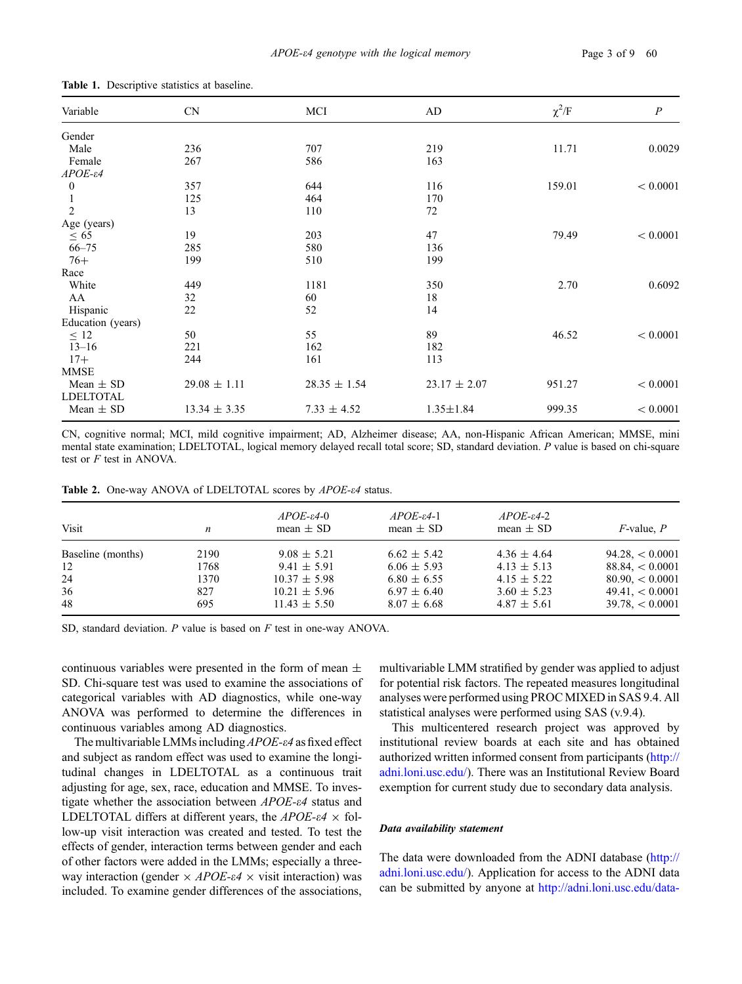| - 13                  |                  |                  |                  |            |                |
|-----------------------|------------------|------------------|------------------|------------|----------------|
| Variable              | <b>CN</b>        | MCI              | AD               | $\chi^2/F$ | $\overline{P}$ |
| Gender                |                  |                  |                  |            |                |
| Male                  | 236              | 707              | 219              | 11.71      | 0.0029         |
| Female                | 267              | 586              | 163              |            |                |
| $APOE - \varepsilon4$ |                  |                  |                  |            |                |
| $\boldsymbol{0}$      | 357              | 644              | 116              | 159.01     | < 0.0001       |
|                       | 125              | 464              | 170              |            |                |
| $\overline{2}$        | 13               | 110              | 72               |            |                |
| Age (years)           |                  |                  |                  |            |                |
| $\leq 65$             | 19               | 203              | 47               | 79.49      | < 0.0001       |
| $66 - 75$             | 285              | 580              | 136              |            |                |
| $76+$                 | 199              | 510              | 199              |            |                |
| Race                  |                  |                  |                  |            |                |
| White                 | 449              | 1181             | 350              | 2.70       | 0.6092         |
| AA                    | 32               | 60               | 18               |            |                |
| Hispanic              | 22               | 52               | 14               |            |                |
| Education (years)     |                  |                  |                  |            |                |
| $\leq 12$             | 50               | 55               | 89               | 46.52      | < 0.0001       |
| $13 - 16$             | 221              | 162              | 182              |            |                |
| $17+$                 | 244              | 161              | 113              |            |                |
| <b>MMSE</b>           |                  |                  |                  |            |                |
| Mean $\pm$ SD         | $29.08 \pm 1.11$ | $28.35 \pm 1.54$ | $23.17 \pm 2.07$ | 951.27     | < 0.0001       |
| <b>LDELTOTAL</b>      |                  |                  |                  |            |                |
| Mean $\pm$ SD         | $13.34 \pm 3.35$ | $7.33 \pm 4.52$  | $1.35 \pm 1.84$  | 999.35     | < 0.0001       |

<span id="page-2-0"></span>Table 1. Descriptive statistics at baseline.

CN, cognitive normal; MCI, mild cognitive impairment; AD, Alzheimer disease; AA, non-Hispanic African American; MMSE, mini mental state examination; LDELTOTAL, logical memory delayed recall total score; SD, standard deviation. P value is based on chi-square test or F test in ANOVA.

Table 2. One-way ANOVA of LDELTOTAL scores by APOE- $\epsilon$ 4 status.

| Visit             | n    | $APOE$ -ε4-0<br>mean $\pm$ SD | $APOE$ - $\varepsilon$ 4-1<br>mean $\pm$ SD | $APOE - \varepsilon 4 - 2$<br>mean $\pm$ SD | $F$ -value, $P$       |
|-------------------|------|-------------------------------|---------------------------------------------|---------------------------------------------|-----------------------|
| Baseline (months) | 2190 | $9.08 \pm 5.21$               | $6.62 \pm 5.42$                             | $4.36 \pm 4.64$                             | $94.28 \times 0.0001$ |
| 12                | 1768 | $9.41 \pm 5.91$               | $6.06 \pm 5.93$                             | $4.13 \pm 5.13$                             | $88.84 \leq 0.0001$   |
| 24                | 1370 | $10.37 \pm 5.98$              | $6.80 \pm 6.55$                             | $4.15 \pm 5.22$                             | $80.90 \leq 0.0001$   |
| 36                | 827  | $10.21 \pm 5.96$              | $6.97 \pm 6.40$                             | $3.60 \pm 5.23$                             | $49.41 \leq 0.0001$   |
| 48                | 695  | $11.43 \pm 5.50$              | $8.07 \pm 6.68$                             | $4.87 \pm 5.61$                             | $39.78 \leq 0.0001$   |

SD, standard deviation. P value is based on F test in one-way ANOVA.

continuous variables were presented in the form of mean  $\pm$ SD. Chi-square test was used to examine the associations of categorical variables with AD diagnostics, while one-way ANOVA was performed to determine the differences in continuous variables among AD diagnostics.

The multivariable LMMs including APOE- $\varepsilon$ 4 as fixed effect and subject as random effect was used to examine the longitudinal changes in LDELTOTAL as a continuous trait adjusting for age, sex, race, education and MMSE. To investigate whether the association between APOE-e4 status and LDELTOTAL differs at different years, the  $APOE-\varepsilon/4 \times$  follow-up visit interaction was created and tested. To test the effects of gender, interaction terms between gender and each of other factors were added in the LMMs; especially a threeway interaction (gender  $\times$  APOE- $\varepsilon$ 4  $\times$  visit interaction) was included. To examine gender differences of the associations,

multivariable LMM stratified by gender was applied to adjust for potential risk factors. The repeated measures longitudinal analyses were performed using PROC MIXED in SAS 9.4. All statistical analyses were performed using SAS (v.9.4).

This multicentered research project was approved by institutional review boards at each site and has obtained authorized written informed consent from participants [\(http://](http://adni.loni.usc.edu/) [adni.loni.usc.edu/\)](http://adni.loni.usc.edu/). There was an Institutional Review Board exemption for current study due to secondary data analysis.

### Data availability statement

The data were downloaded from the ADNI database [\(http://](http://adni.loni.usc.edu/) [adni.loni.usc.edu/\)](http://adni.loni.usc.edu/). Application for access to the ADNI data can be submitted by anyone at [http://adni.loni.usc.edu/data-](http://adni.loni.usc.edu/data-samples/access-data/)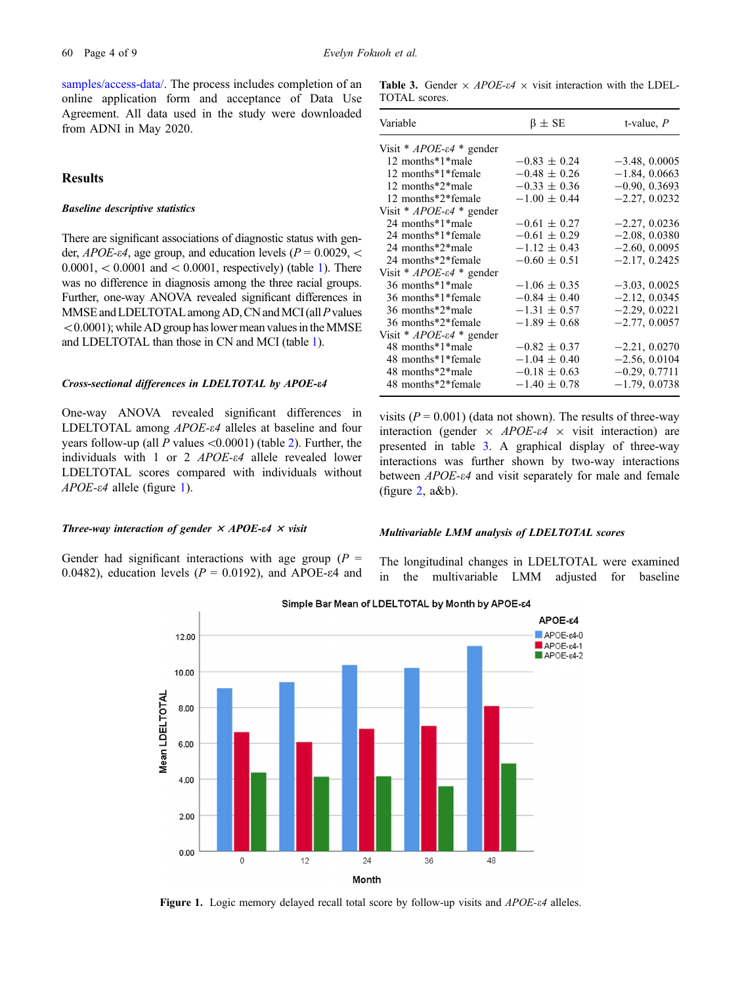[samples/access-data/.](http://adni.loni.usc.edu/data-samples/access-data/) The process includes completion of an online application form and acceptance of Data Use Agreement. All data used in the study were downloaded from ADNI in May 2020.

# **Results**

### Baseline descriptive statistics

There are significant associations of diagnostic status with gender,  $APOE-*e*4$ , age group, and education levels ( $P = 0.0029$ , <  $0.0001, < 0.0001$  and  $< 0.0001$ , respectively) (table [1\)](#page-2-0). There was no difference in diagnosis among the three racial groups. Further, one-way ANOVA revealed significant differences in MMSE and LDELTOTAL among AD, CN and MCI (all  $P$  values  $< 0.0001$ ); while AD group has lower mean values in the MMSE and LDELTOTAL than those in CN and MCI (table [1](#page-2-0)).

### Cross-sectional differences in LDELTOTAL by APOE-e4

One-way ANOVA revealed significant differences in LDELTOTAL among APOE- $\varepsilon$ 4 alleles at baseline and four years follow-up (all P values  $\langle 0.0001 \rangle$  (table [2](#page-2-0)). Further, the individuals with 1 or 2  $APOE-64$  allele revealed lower LDELTOTAL scores compared with individuals without  $APOE$ - $\varepsilon$ 4 allele (figure 1).

#### Three-way interaction of gender  $\times$  APOE-e4  $\times$  visit

Gender had significant interactions with age group ( $P =$ 0.0482), education levels ( $P = 0.0192$ ), and APOE- $\varepsilon$ 4 and

Table 3. Gender  $\times$  APOE- $\epsilon$ 4  $\times$  visit interaction with the LDEL-TOTAL scores.

| Variable                                  | $\beta \pm SE$   | t-value, $P$    |
|-------------------------------------------|------------------|-----------------|
| Visit * $APOE$ - $\varepsilon$ 4 * gender |                  |                 |
| 12 months*1*male                          | $-0.83 \pm 0.24$ | $-3.48, 0.0005$ |
| 12 months*1*female                        | $-0.48 \pm 0.26$ | $-1.84, 0.0663$ |
| 12 months*2*male                          | $-0.33 \pm 0.36$ | $-0.90, 0.3693$ |
| 12 months*2*female                        | $-1.00 \pm 0.44$ | $-2.27, 0.0232$ |
| Visit * $APOE$ - $\varepsilon$ 4 * gender |                  |                 |
| 24 months*1*male                          | $-0.61 \pm 0.27$ | $-2.27, 0.0236$ |
| 24 months*1*female                        | $-0.61 \pm 0.29$ | $-2.08, 0.0380$ |
| 24 months*2*male                          | $-1.12 \pm 0.43$ | $-2.60, 0.0095$ |
| 24 months*2*female                        | $-0.60 \pm 0.51$ | $-2.17, 0.2425$ |
| Visit * $APOE$ - $\varepsilon$ 4 * gender |                  |                 |
| 36 months*1*male                          | $-1.06 \pm 0.35$ | $-3.03, 0.0025$ |
| 36 months*1*female                        | $-0.84 \pm 0.40$ | $-2.12, 0.0345$ |
| 36 months*2*male                          | $-1.31 \pm 0.57$ | $-2.29, 0.0221$ |
| 36 months*2*female                        | $-1.89 \pm 0.68$ | $-2.77, 0.0057$ |
| Visit * $APOE$ - $\varepsilon$ 4 * gender |                  |                 |
| 48 months*1*male                          | $-0.82 \pm 0.37$ | $-2.21, 0.0270$ |
| 48 months*1*female                        | $-1.04 \pm 0.40$ | $-2.56, 0.0104$ |
| 48 months*2*male                          | $-0.18 \pm 0.63$ | $-0.29, 0.7711$ |
| 48 months*2*female                        | $-1.40 \pm 0.78$ | $-1.79, 0.0738$ |

visits  $(P = 0.001)$  (data not shown). The results of three-way interaction (gender  $\times$  APOE- $\epsilon$ 4  $\times$  visit interaction) are presented in table 3. A graphical display of three-way interactions was further shown by two-way interactions between *APOE-e4* and visit separately for male and female (figure [2](#page-4-0), a&b).

### Multivariable LMM analysis of LDELTOTAL scores

The longitudinal changes in LDELTOTAL were examined in the multivariable LMM adjusted for baseline



Simple Bar Mean of LDELTOTAL by Month by APOE-64

Figure 1. Logic memory delayed recall total score by follow-up visits and  $APOE-ε4$  alleles.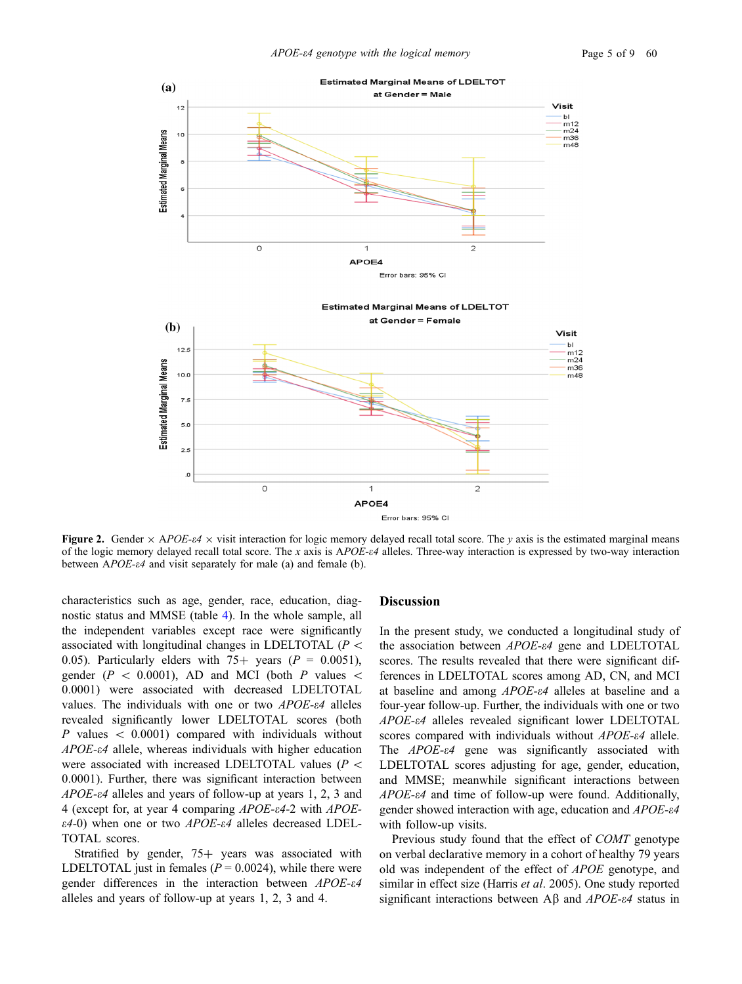<span id="page-4-0"></span>

Figure 2. Gender  $\times$  APOE-e4  $\times$  visit interaction for logic memory delayed recall total score. The y axis is the estimated marginal means of the logic memory delayed recall total score. The x axis is  $APOE- $\epsilon$$  alleles. Three-way interaction is expressed by two-way interaction between  $APOE-*e*4$  and visit separately for male (a) and female (b).

characteristics such as age, gender, race, education, diagnostic status and MMSE (table [4](#page-5-0)). In the whole sample, all the independent variables except race were significantly associated with longitudinal changes in LDELTOTAL ( $P \leq$ 0.05). Particularly elders with  $75+$  years ( $P = 0.0051$ ), gender ( $P \, < \, 0.0001$ ), AD and MCI (both P values  $\lt$ 0.0001) were associated with decreased LDELTOTAL values. The individuals with one or two  $APOE-64$  alleles revealed significantly lower LDELTOTAL scores (both P values  $\lt$  0.0001) compared with individuals without APOE-e4 allele, whereas individuals with higher education were associated with increased LDELTOTAL values ( $P$  < 0.0001). Further, there was significant interaction between  $APOE-<sub>e4</sub>$  alleles and years of follow-up at years 1, 2, 3 and 4 (except for, at year 4 comparing APOE-e4-2 with APOE- $\varepsilon$ 4-0) when one or two APOE- $\varepsilon$ 4 alleles decreased LDEL-TOTAL scores.

Stratified by gender,  $75+$  years was associated with LDELTOTAL just in females ( $P = 0.0024$ ), while there were gender differences in the interaction between APOE-e4 alleles and years of follow-up at years 1, 2, 3 and 4.

# Discussion

In the present study, we conducted a longitudinal study of the association between  $APOE-ef$  gene and LDELTOTAL scores. The results revealed that there were significant differences in LDELTOTAL scores among AD, CN, and MCI at baseline and among APOE-e4 alleles at baseline and a four-year follow-up. Further, the individuals with one or two APOE-e4 alleles revealed significant lower LDELTOTAL scores compared with individuals without APOE- $\varepsilon$ 4 allele. The  $APOE-64$  gene was significantly associated with LDELTOTAL scores adjusting for age, gender, education, and MMSE; meanwhile significant interactions between APOE- $\varepsilon$ 4 and time of follow-up were found. Additionally, gender showed interaction with age, education and APOE-e4 with follow-up visits.

Previous study found that the effect of COMT genotype on verbal declarative memory in a cohort of healthy 79 years old was independent of the effect of APOE genotype, and similar in effect size (Harris et al. 2005). One study reported significant interactions between A $\beta$  and APOE- $\epsilon$ 4 status in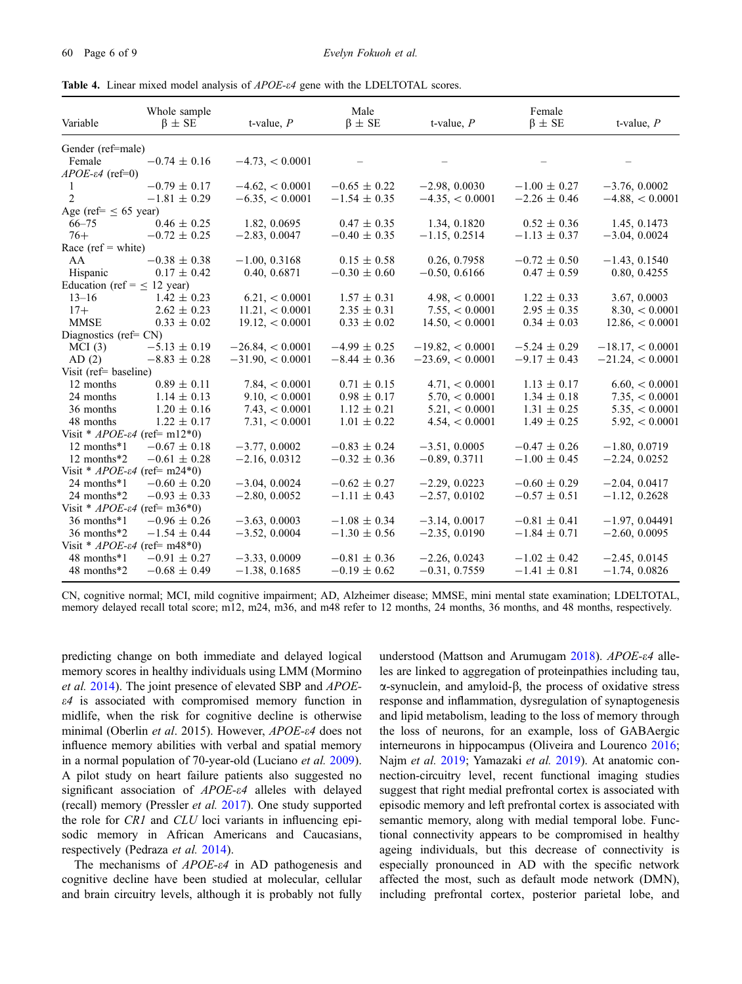<span id="page-5-0"></span>Table 4. Linear mixed model analysis of APOE-e4 gene with the LDELTOTAL scores.

| Variable                                      | Whole sample<br>$\beta \pm SE$ | t-value, $P$          | Male<br>$\beta \pm SE$ | t-value, $P$         | Female<br>$\beta \pm SE$ | t-value, $P$        |
|-----------------------------------------------|--------------------------------|-----------------------|------------------------|----------------------|--------------------------|---------------------|
| Gender (ref=male)                             |                                |                       |                        |                      |                          |                     |
| Female                                        | $-0.74 \pm 0.16$               | $-4.73, < 0.0001$     |                        |                      |                          |                     |
| $APOE$ - $\varepsilon$ 4 (ref=0)              |                                |                       |                        |                      |                          |                     |
| 1                                             | $-0.79 \pm 0.17$               | $-4.62, < 0.0001$     | $-0.65 \pm 0.22$       | $-2.98, 0.0030$      | $-1.00 \pm 0.27$         | $-3.76, 0.0002$     |
| 2                                             | $-1.81 \pm 0.29$               | $-6.35, < 0.0001$     | $-1.54 \pm 0.35$       | $-4.35, < 0.0001$    | $-2.26 \pm 0.46$         | $-4.88<0.0001$      |
| Age (ref= $\leq 65$ year)                     |                                |                       |                        |                      |                          |                     |
| $66 - 75$                                     | $0.46 \pm 0.25$                | 1.82, 0.0695          | $0.47 \pm 0.35$        | 1.34, 0.1820         | $0.52 \pm 0.36$          | 1.45, 0.1473        |
| $76+$                                         | $-0.72 \pm 0.25$               | $-2.83, 0.0047$       | $-0.40 \pm 0.35$       | $-1.15, 0.2514$      | $-1.13 \pm 0.37$         | $-3.04, 0.0024$     |
| Race (ref = white)                            |                                |                       |                        |                      |                          |                     |
| AA                                            | $-0.38 \pm 0.38$               | $-1.00, 0.3168$       | $0.15 \pm 0.58$        | 0.26, 0.7958         | $-0.72 \pm 0.50$         | $-1.43, 0.1540$     |
| Hispanic                                      | $0.17 \pm 0.42$                | 0.40, 0.6871          | $-0.30 \pm 0.60$       | $-0.50, 0.6166$      | $0.47 \pm 0.59$          | 0.80, 0.4255        |
| Education (ref = $\leq$ 12 year)              |                                |                       |                        |                      |                          |                     |
| $13 - 16$                                     | $1.42 \pm 0.23$                | 6.21, < 0.0001        | $1.57 \pm 0.31$        | $4.98 \times 0.0001$ | $1.22 \pm 0.33$          | 3.67, 0.0003        |
| $17+$                                         | $2.62 \pm 0.23$                | 11.21, < 0.0001       | $2.35 \pm 0.31$        | 7.55, < 0.0001       | $2.95 \pm 0.35$          | $8.30 \leq 0.0001$  |
| <b>MMSE</b>                                   | $0.33 \pm 0.02$                | $19.12 \times 0.0001$ | $0.33 \pm 0.02$        | $14.50 \leq 0.0001$  | $0.34 \pm 0.03$          | $12.86 \, < 0.0001$ |
| Diagnostics (ref= $CN$ )                      |                                |                       |                        |                      |                          |                     |
| MCI(3)                                        | $-5.13 \pm 0.19$               | $-26.84 < 0.0001$     | $-4.99 \pm 0.25$       | $-19.82 \le 0.0001$  | $-5.24 \pm 0.29$         | $-18.17 < 0.0001$   |
| AD(2)                                         | $-8.83 \pm 0.28$               | $-31.90 \le 0.0001$   | $-8.44 \pm 0.36$       | $-23.69 < 0.0001$    | $-9.17 \pm 0.43$         | $-21.24 < 0.0001$   |
| Visit (ref= $\text{baseline}$ )               |                                |                       |                        |                      |                          |                     |
| 12 months                                     | $0.89 \pm 0.11$                | 7.84 < 0.0001         | $0.71 \pm 0.15$        | 4.71, < 0.0001       | $1.13 \pm 0.17$          | $6.60 \leq 0.0001$  |
| 24 months                                     | $1.14 \pm 0.13$                | $9.10 \leq 0.0001$    | $0.98 \pm 0.17$        | 5.70, < 0.0001       | $1.34 \pm 0.18$          | 7.35, < 0.0001      |
| 36 months                                     | $1.20 \pm 0.16$                | 7.43 < 0.0001         | $1.12 \pm 0.21$        | 5.21, < 0.0001       | $1.31 \pm 0.25$          | 5.35, < 0.0001      |
| 48 months                                     | $1.22 \pm 0.17$                | 7.31, < 0.0001        | $1.01 \pm 0.22$        | 4.54, < 0.0001       | $1.49 \pm 0.25$          | 5.92, < 0.0001      |
| Visit * $APOE$ - $\varepsilon$ 4 (ref= m12*0) |                                |                       |                        |                      |                          |                     |
| 12 months*1                                   | $-0.67 \pm 0.18$               | $-3.77, 0.0002$       | $-0.83 \pm 0.24$       | $-3.51, 0.0005$      | $-0.47 \pm 0.26$         | $-1.80, 0.0719$     |
| 12 months*2                                   | $-0.61 \pm 0.28$               | $-2.16, 0.0312$       | $-0.32 \pm 0.36$       | $-0.89, 0.3711$      | $-1.00 \pm 0.45$         | $-2.24, 0.0252$     |
| Visit * $APOE- \varepsilon 4$ (ref= m24*0)    |                                |                       |                        |                      |                          |                     |
| 24 months*1                                   | $-0.60 \pm 0.20$               | $-3.04, 0.0024$       | $-0.62 \pm 0.27$       | $-2.29, 0.0223$      | $-0.60 \pm 0.29$         | $-2.04, 0.0417$     |
| 24 months*2                                   | $-0.93 \pm 0.33$               | $-2.80, 0.0052$       | $-1.11 \pm 0.43$       | $-2.57, 0.0102$      | $-0.57 \pm 0.51$         | $-1.12, 0.2628$     |
| Visit * $APOE$ - $\varepsilon$ 4 (ref= m36*0) |                                |                       |                        |                      |                          |                     |
| 36 months*1                                   | $-0.96 \pm 0.26$               | $-3.63, 0.0003$       | $-1.08 \pm 0.34$       | $-3.14, 0.0017$      | $-0.81 \pm 0.41$         | $-1.97, 0.04491$    |
| 36 months*2                                   | $-1.54 \pm 0.44$               | $-3.52, 0.0004$       | $-1.30 \pm 0.56$       | $-2.35, 0.0190$      | $-1.84 \pm 0.71$         | $-2.60, 0.0095$     |
| Visit * $APOE$ - $\varepsilon$ 4 (ref= m48*0) |                                |                       |                        |                      |                          |                     |
| 48 months*1                                   | $-0.91 \pm 0.27$               | $-3.33, 0.0009$       | $-0.81 \pm 0.36$       | $-2.26, 0.0243$      | $-1.02 \pm 0.42$         | $-2.45, 0.0145$     |
| 48 months*2                                   | $-0.68 \pm 0.49$               | $-1.38, 0.1685$       | $-0.19 \pm 0.62$       | $-0.31, 0.7559$      | $-1.41 \pm 0.81$         | $-1.74, 0.0826$     |

CN, cognitive normal; MCI, mild cognitive impairment; AD, Alzheimer disease; MMSE, mini mental state examination; LDELTOTAL, memory delayed recall total score; m12, m24, m36, and m48 refer to 12 months, 24 months, 36 months, and 48 months, respectively.

predicting change on both immediate and delayed logical memory scores in healthy individuals using LMM (Mormino et al. [2014\)](#page-8-0). The joint presence of elevated SBP and APOE- $\varepsilon$ 4 is associated with compromised memory function in midlife, when the risk for cognitive decline is otherwise minimal (Oberlin et al. 2015). However, APOE- $\varepsilon$ 4 does not influence memory abilities with verbal and spatial memory in a normal population of 70-year-old (Luciano et al. [2009\)](#page-8-0). A pilot study on heart failure patients also suggested no significant association of APOE- $\varepsilon$ 4 alleles with delayed (recall) memory (Pressler et al. [2017](#page-8-0)). One study supported the role for CR1 and CLU loci variants in influencing episodic memory in African Americans and Caucasians, respectively (Pedraza et al. [2014](#page-8-0)).

The mechanisms of *APOE-* $\varepsilon$ 4 in AD pathogenesis and cognitive decline have been studied at molecular, cellular and brain circuitry levels, although it is probably not fully

understood (Mattson and Arumugam  $2018$ ). APOE- $\varepsilon$ 4 alleles are linked to aggregation of proteinpathies including tau,  $\alpha$ -synuclein, and amyloid- $\beta$ , the process of oxidative stress response and inflammation, dysregulation of synaptogenesis and lipid metabolism, leading to the loss of memory through the loss of neurons, for an example, loss of GABAergic interneurons in hippocampus (Oliveira and Lourenco [2016;](#page-8-0) Najm et al. [2019;](#page-8-0) Yamazaki et al. [2019](#page-8-0)). At anatomic connection-circuitry level, recent functional imaging studies suggest that right medial prefrontal cortex is associated with episodic memory and left prefrontal cortex is associated with semantic memory, along with medial temporal lobe. Functional connectivity appears to be compromised in healthy ageing individuals, but this decrease of connectivity is especially pronounced in AD with the specific network affected the most, such as default mode network (DMN), including prefrontal cortex, posterior parietal lobe, and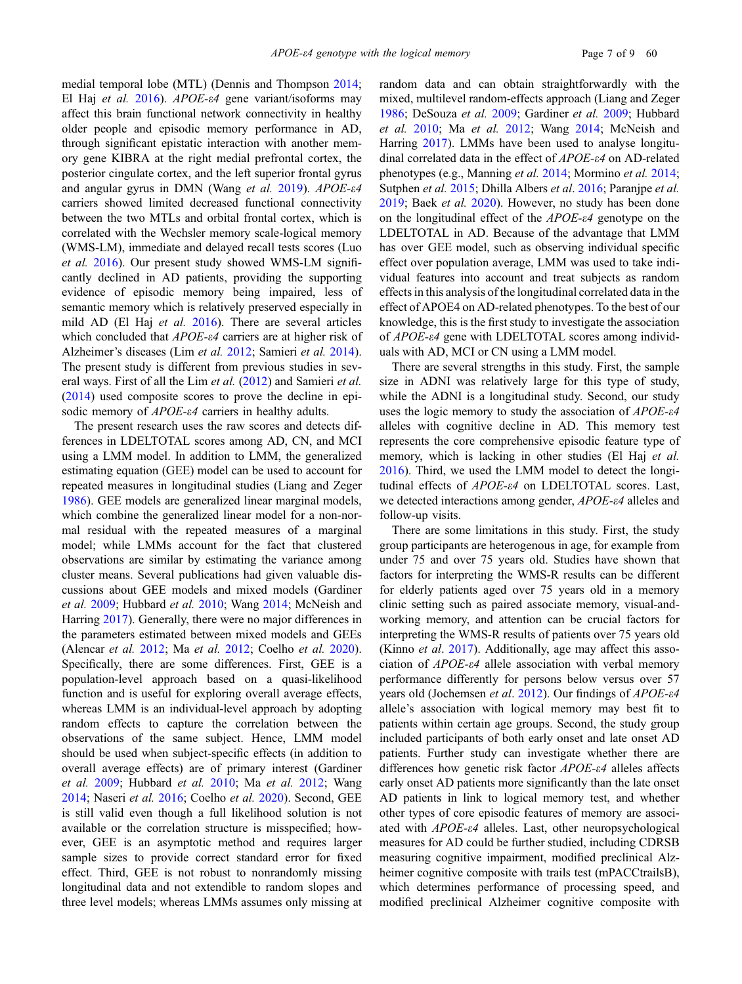medial temporal lobe (MTL) (Dennis and Thompson [2014;](#page-7-0) El Haj et al. [2016](#page-7-0)). APOE- $\varepsilon$ 4 gene variant/isoforms may affect this brain functional network connectivity in healthy older people and episodic memory performance in AD, through significant epistatic interaction with another memory gene KIBRA at the right medial prefrontal cortex, the posterior cingulate cortex, and the left superior frontal gyrus and angular gyrus in DMN (Wang et al. [2019](#page-8-0)). APOE- $\varepsilon$ 4 carriers showed limited decreased functional connectivity between the two MTLs and orbital frontal cortex, which is correlated with the Wechsler memory scale-logical memory (WMS-LM), immediate and delayed recall tests scores (Luo et al. [2016\)](#page-8-0). Our present study showed WMS-LM significantly declined in AD patients, providing the supporting evidence of episodic memory being impaired, less of semantic memory which is relatively preserved especially in mild AD (El Haj et al. [2016](#page-7-0)). There are several articles which concluded that APOE- $\varepsilon$ 4 carriers are at higher risk of Alzheimer's diseases (Lim et al. [2012](#page-8-0); Samieri et al. [2014\)](#page-8-0). The present study is different from previous studies in sev-eral ways. First of all the Lim et al. [\(2012\)](#page-8-0) and Samieri et al. ([2014\)](#page-8-0) used composite scores to prove the decline in episodic memory of *APOE-* $\varepsilon$ *4* carriers in healthy adults.

The present research uses the raw scores and detects differences in LDELTOTAL scores among AD, CN, and MCI using a LMM model. In addition to LMM, the generalized estimating equation (GEE) model can be used to account for repeated measures in longitudinal studies (Liang and Zeger [1986\)](#page-8-0). GEE models are generalized linear marginal models, which combine the generalized linear model for a non-normal residual with the repeated measures of a marginal model; while LMMs account for the fact that clustered observations are similar by estimating the variance among cluster means. Several publications had given valuable discussions about GEE models and mixed models (Gardiner et al. [2009;](#page-7-0) Hubbard et al. [2010;](#page-7-0) Wang [2014](#page-8-0); McNeish and Harring [2017\)](#page-8-0). Generally, there were no major differences in the parameters estimated between mixed models and GEEs (Alencar et al. [2012](#page-7-0); Ma et al. [2012;](#page-8-0) Coelho et al. [2020\)](#page-7-0). Specifically, there are some differences. First, GEE is a population-level approach based on a quasi-likelihood function and is useful for exploring overall average effects, whereas LMM is an individual-level approach by adopting random effects to capture the correlation between the observations of the same subject. Hence, LMM model should be used when subject-specific effects (in addition to overall average effects) are of primary interest (Gardiner et al. [2009;](#page-7-0) Hubbard et al. [2010;](#page-7-0) Ma et al. [2012](#page-8-0); Wang [2014;](#page-8-0) Naseri et al. [2016](#page-8-0); Coelho et al. [2020\)](#page-7-0). Second, GEE is still valid even though a full likelihood solution is not available or the correlation structure is misspecified; however, GEE is an asymptotic method and requires larger sample sizes to provide correct standard error for fixed effect. Third, GEE is not robust to nonrandomly missing longitudinal data and not extendible to random slopes and three level models; whereas LMMs assumes only missing at random data and can obtain straightforwardly with the mixed, multilevel random-effects approach (Liang and Zeger [1986;](#page-8-0) DeSouza et al. [2009](#page-7-0); Gardiner et al. [2009;](#page-7-0) Hubbard et al. [2010](#page-7-0); Ma et al. [2012](#page-8-0); Wang [2014](#page-8-0); McNeish and Harring [2017](#page-8-0)). LMMs have been used to analyse longitudinal correlated data in the effect of APOE-e4 on AD-related phenotypes (e.g., Manning et al. [2014;](#page-8-0) Mormino et al. [2014;](#page-8-0) Sutphen et al. [2015;](#page-8-0) Dhilla Albers et al. [2016](#page-7-0); Paranjpe et al. [2019;](#page-8-0) Baek et al. [2020](#page-7-0)). However, no study has been done on the longitudinal effect of the  $APOE$ - $\varepsilon$ 4 genotype on the LDELTOTAL in AD. Because of the advantage that LMM has over GEE model, such as observing individual specific effect over population average, LMM was used to take individual features into account and treat subjects as random effects in this analysis of the longitudinal correlated data in the effect of APOE4 on AD-related phenotypes. To the best of our knowledge, this is the first study to investigate the association of APOE-e4 gene with LDELTOTAL scores among individuals with AD, MCI or CN using a LMM model.

There are several strengths in this study. First, the sample size in ADNI was relatively large for this type of study, while the ADNI is a longitudinal study. Second, our study uses the logic memory to study the association of  $APOE-64$ alleles with cognitive decline in AD. This memory test represents the core comprehensive episodic feature type of memory, which is lacking in other studies (El Haj et al. [2016\)](#page-7-0). Third, we used the LMM model to detect the longitudinal effects of APOE-e4 on LDELTOTAL scores. Last, we detected interactions among gender, APOE-e4 alleles and follow-up visits.

There are some limitations in this study. First, the study group participants are heterogenous in age, for example from under 75 and over 75 years old. Studies have shown that factors for interpreting the WMS-R results can be different for elderly patients aged over 75 years old in a memory clinic setting such as paired associate memory, visual-andworking memory, and attention can be crucial factors for interpreting the WMS-R results of patients over 75 years old (Kinno *et al.* [2017](#page-8-0)). Additionally, age may affect this association of APOE-e4 allele association with verbal memory performance differently for persons below versus over 57 years old (Jochemsen et al. [2012\)](#page-8-0). Our findings of APOE-e4 allele's association with logical memory may best fit to patients within certain age groups. Second, the study group included participants of both early onset and late onset AD patients. Further study can investigate whether there are differences how genetic risk factor APOE-e4 alleles affects early onset AD patients more significantly than the late onset AD patients in link to logical memory test, and whether other types of core episodic features of memory are associated with APOE-e4 alleles. Last, other neuropsychological measures for AD could be further studied, including CDRSB measuring cognitive impairment, modified preclinical Alzheimer cognitive composite with trails test (mPACCtrailsB), which determines performance of processing speed, and modified preclinical Alzheimer cognitive composite with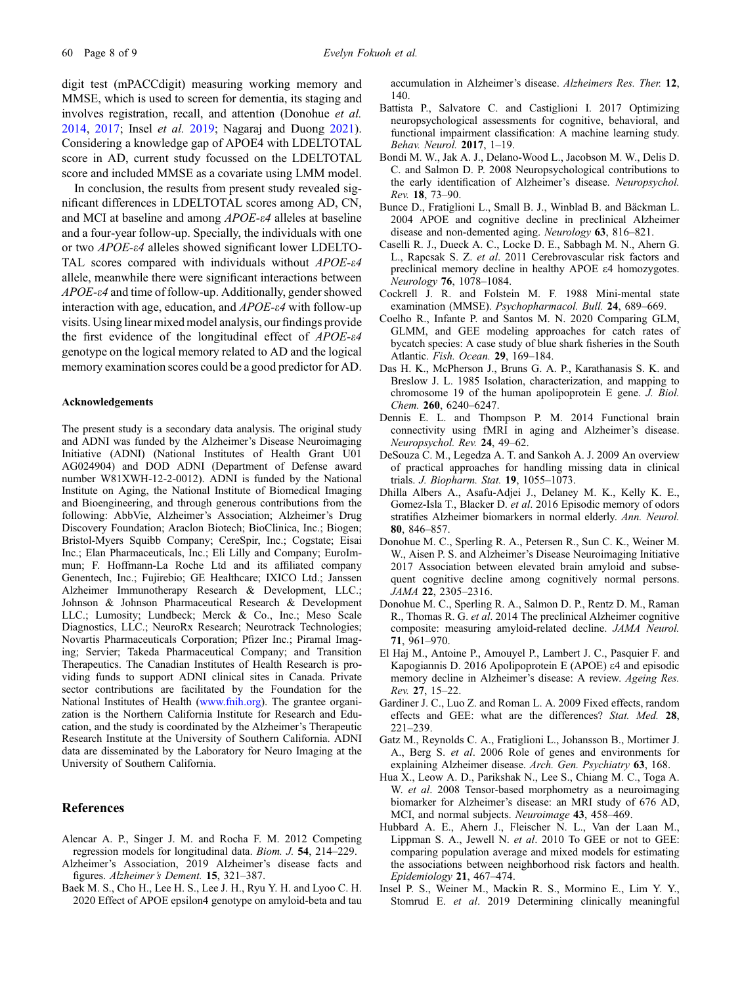<span id="page-7-0"></span>digit test (mPACCdigit) measuring working memory and MMSE, which is used to screen for dementia, its staging and involves registration, recall, and attention (Donohue et al. 2014, 2017; Insel et al. 2019; Nagaraj and Duong [2021\)](#page-8-0). Considering a knowledge gap of APOE4 with LDELTOTAL score in AD, current study focussed on the LDELTOTAL score and included MMSE as a covariate using LMM model.

In conclusion, the results from present study revealed significant differences in LDELTOTAL scores among AD, CN, and MCI at baseline and among APOE-e4 alleles at baseline and a four-year follow-up. Specially, the individuals with one or two APOE-e4 alleles showed significant lower LDELTO-TAL scores compared with individuals without APOE- $\varepsilon$ 4 allele, meanwhile there were significant interactions between APOE-e4 and time of follow-up. Additionally, gender showed interaction with age, education, and  $APOE-<sub>e4</sub>$  with follow-up visits. Using linear mixed model analysis, our findings provide the first evidence of the longitudinal effect of  $APOE-64$ genotype on the logical memory related to AD and the logical memory examination scores could be a good predictor for AD.

#### Acknowledgements

The present study is a secondary data analysis. The original study and ADNI was funded by the Alzheimer's Disease Neuroimaging Initiative (ADNI) (National Institutes of Health Grant U01 AG024904) and DOD ADNI (Department of Defense award number W81XWH-12-2-0012). ADNI is funded by the National Institute on Aging, the National Institute of Biomedical Imaging and Bioengineering, and through generous contributions from the following: AbbVie, Alzheimer's Association; Alzheimer's Drug Discovery Foundation; Araclon Biotech; BioClinica, Inc.; Biogen; Bristol-Myers Squibb Company; CereSpir, Inc.; Cogstate; Eisai Inc.; Elan Pharmaceuticals, Inc.; Eli Lilly and Company; EuroImmun; F. Hoffmann-La Roche Ltd and its affiliated company Genentech, Inc.; Fujirebio; GE Healthcare; IXICO Ltd.; Janssen Alzheimer Immunotherapy Research & Development, LLC.; Johnson & Johnson Pharmaceutical Research & Development LLC.; Lumosity; Lundbeck; Merck & Co., Inc.; Meso Scale Diagnostics, LLC.; NeuroRx Research; Neurotrack Technologies; Novartis Pharmaceuticals Corporation; Pfizer Inc.; Piramal Imaging; Servier; Takeda Pharmaceutical Company; and Transition Therapeutics. The Canadian Institutes of Health Research is providing funds to support ADNI clinical sites in Canada. Private sector contributions are facilitated by the Foundation for the National Institutes of Health [\(www.fnih.org\)](http://www.fnih.org). The grantee organization is the Northern California Institute for Research and Education, and the study is coordinated by the Alzheimer's Therapeutic Research Institute at the University of Southern California. ADNI data are disseminated by the Laboratory for Neuro Imaging at the University of Southern California.

# References

- Alencar A. P., Singer J. M. and Rocha F. M. 2012 Competing regression models for longitudinal data. Biom. J. 54, 214–229.
- Alzheimer's Association, 2019 Alzheimer's disease facts and figures. Alzheimer's Dement. 15, 321–387.
- Baek M. S., Cho H., Lee H. S., Lee J. H., Ryu Y. H. and Lyoo C. H. 2020 Effect of APOE epsilon4 genotype on amyloid-beta and tau

accumulation in Alzheimer's disease. Alzheimers Res. Ther. 12, 140.

- Battista P., Salvatore C. and Castiglioni I. 2017 Optimizing neuropsychological assessments for cognitive, behavioral, and functional impairment classification: A machine learning study. Behav. Neurol. 2017, 1–19.
- Bondi M. W., Jak A. J., Delano-Wood L., Jacobson M. W., Delis D. C. and Salmon D. P. 2008 Neuropsychological contributions to the early identification of Alzheimer's disease. Neuropsychol. Rev. 18, 73–90.
- Bunce D., Fratiglioni L., Small B. J., Winblad B. and Bäckman L. 2004 APOE and cognitive decline in preclinical Alzheimer disease and non-demented aging. Neurology 63, 816–821.
- Caselli R. J., Dueck A. C., Locke D. E., Sabbagh M. N., Ahern G. L., Rapcsak S. Z. et al. 2011 Cerebrovascular risk factors and preclinical memory decline in healthy APOE e4 homozygotes. Neurology 76, 1078–1084.
- Cockrell J. R. and Folstein M. F. 1988 Mini-mental state examination (MMSE). Psychopharmacol. Bull. 24, 689–669.
- Coelho R., Infante P. and Santos M. N. 2020 Comparing GLM, GLMM, and GEE modeling approaches for catch rates of bycatch species: A case study of blue shark fisheries in the South Atlantic. Fish. Ocean. 29, 169–184.
- Das H. K., McPherson J., Bruns G. A. P., Karathanasis S. K. and Breslow J. L. 1985 Isolation, characterization, and mapping to chromosome 19 of the human apolipoprotein E gene. J. Biol. Chem. 260, 6240–6247.
- Dennis E. L. and Thompson P. M. 2014 Functional brain connectivity using fMRI in aging and Alzheimer's disease. Neuropsychol. Rev. 24, 49–62.
- DeSouza C. M., Legedza A. T. and Sankoh A. J. 2009 An overview of practical approaches for handling missing data in clinical trials. J. Biopharm. Stat. 19, 1055–1073.
- Dhilla Albers A., Asafu-Adjei J., Delaney M. K., Kelly K. E., Gomez-Isla T., Blacker D. et al. 2016 Episodic memory of odors stratifies Alzheimer biomarkers in normal elderly. Ann. Neurol. 80, 846–857.
- Donohue M. C., Sperling R. A., Petersen R., Sun C. K., Weiner M. W., Aisen P. S. and Alzheimer's Disease Neuroimaging Initiative 2017 Association between elevated brain amyloid and subsequent cognitive decline among cognitively normal persons. JAMA 22, 2305–2316.
- Donohue M. C., Sperling R. A., Salmon D. P., Rentz D. M., Raman R., Thomas R. G. et al. 2014 The preclinical Alzheimer cognitive composite: measuring amyloid-related decline. JAMA Neurol. 71, 961–970.
- El Haj M., Antoine P., Amouyel P., Lambert J. C., Pasquier F. and Kapogiannis D. 2016 Apolipoprotein E (APOE) e4 and episodic memory decline in Alzheimer's disease: A review. Ageing Res. Rev. 27, 15–22.
- Gardiner J. C., Luo Z. and Roman L. A. 2009 Fixed effects, random effects and GEE: what are the differences? Stat. Med. 28, 221–239.
- Gatz M., Reynolds C. A., Fratiglioni L., Johansson B., Mortimer J. A., Berg S. et al. 2006 Role of genes and environments for explaining Alzheimer disease. Arch. Gen. Psychiatry 63, 168.
- Hua X., Leow A. D., Parikshak N., Lee S., Chiang M. C., Toga A. W. *et al.* 2008 Tensor-based morphometry as a neuroimaging biomarker for Alzheimer's disease: an MRI study of 676 AD, MCI, and normal subjects. Neuroimage 43, 458–469.
- Hubbard A. E., Ahern J., Fleischer N. L., Van der Laan M., Lippman S. A., Jewell N. et al. 2010 To GEE or not to GEE: comparing population average and mixed models for estimating the associations between neighborhood risk factors and health. Epidemiology 21, 467–474.
- Insel P. S., Weiner M., Mackin R. S., Mormino E., Lim Y. Y., Stomrud E. et al. 2019 Determining clinically meaningful